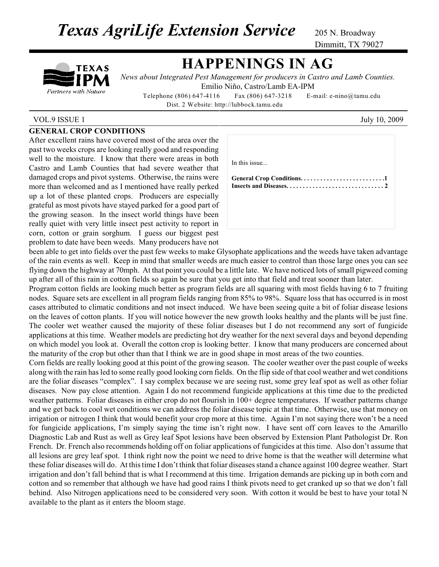**Texas AgriLife Extension Service** 205 N. Broadway

Dimmitt, TX 79027

# TEXAS Partners with Nature

# **HAPPENINGS IN AG**

*News about Integrated Pest Management for producers in Castro and Lamb Counties.* Emilio Niño, Castro/Lamb EA-IPM

Telephone (806) 647-4116 Fax (806) 647-3218 E-mail: e-nino@tamu.edu Dist. 2 Website: http://lubbock.tamu.edu

### VOL.9 ISSUE 1 July 10, 2009

## **GENERAL CROP CONDITIONS**

After excellent rains have covered most of the area over the past two weeks crops are looking really good and responding well to the moisture. I know that there were areas in both Castro and Lamb Counties that had severe weather that damaged crops and pivot systems. Otherwise, the rains were more than welcomed and as I mentioned have really perked up a lot of these planted crops. Producers are especially grateful as most pivots have stayed parked for a good part of the growing season. In the insect world things have been really quiet with very little insect pest activity to report in corn, cotton or grain sorghum. I guess our biggest pest problem to date have been weeds. Many producers have not

| In this issue |  |
|---------------|--|
|               |  |
|               |  |
|               |  |
|               |  |

been able to get into fields over the past few weeks to make Glysophate applications and the weeds have taken advantage of the rain events as well. Keep in mind that smaller weeds are much easier to control than those large ones you can see flying down the highway at 70mph. At that point you could be a little late. We have noticed lots of small pigweed coming up after all of this rain in cotton fields so again be sure that you get into that field and treat sooner than later.

Program cotton fields are looking much better as program fields are all squaring with most fields having 6 to 7 fruiting nodes. Square sets are excellent in all program fields ranging from 85% to 98%. Square loss that has occurred is in most cases attributed to climatic conditions and not insect induced. We have been seeing quite a bit of foliar disease lesions on the leaves of cotton plants. If you will notice however the new growth looks healthy and the plants will be just fine. The cooler wet weather caused the majority of these foliar diseases but I do not recommend any sort of fungicide applications at this time. Weather models are predicting hot dry weather for the next several days and beyond depending on which model you look at. Overall the cotton crop is looking better. I know that many producers are concerned about the maturity of the crop but other than that I think we are in good shape in most areas of the two counties.

Corn fields are really looking good at this point of the growing season. The cooler weather over the past couple of weeks along with the rain has led to some really good looking corn fields. On the flip side of that cool weather and wet conditions are the foliar diseases "complex". I say complex because we are seeing rust, some grey leaf spot as well as other foliar diseases. Now pay close attention. Again I do not recommend fungicide applications at this time due to the predicted weather patterns. Foliar diseases in either crop do not flourish in 100+ degree temperatures. If weather patterns change and we get back to cool wet conditions we can address the foliar disease topic at that time. Otherwise, use that money on irrigation or nitrogen I think that would benefit your crop more at this time. Again I'm not saying there won't be a need for fungicide applications, I'm simply saying the time isn't right now. I have sent off corn leaves to the Amarillo Diagnostic Lab and Rust as well as Grey leaf Spot lesions have been observed by Extension Plant Pathologist Dr. Ron French. Dr. French also recommends holding off on foliar applications of fungicides at this time. Also don't assume that all lesions are grey leaf spot. I think right now the point we need to drive home is that the weather will determine what these foliar diseases will do. At thistime I don't think that foliar diseasesstand a chance against 100 degree weather. Start irrigation and don't fall behind that is what I recommend at this time. Irrigation demands are picking up in both corn and cotton and so remember that although we have had good rains I think pivots need to get cranked up so that we don't fall behind. Also Nitrogen applications need to be considered very soon. With cotton it would be best to have your total N available to the plant as it enters the bloom stage.